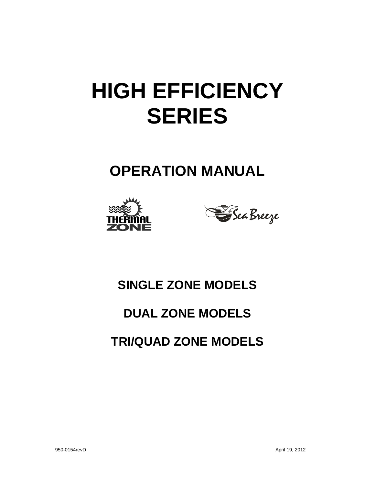# **HIGH EFFICIENCY SERIES**

# **OPERATION MANUAL**





# **SINGLE ZONE MODELS**

### **DUAL ZONE MODELS**

# **TRI/QUAD ZONE MODELS**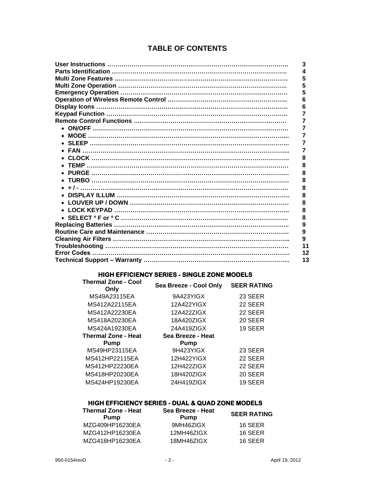#### **TABLE OF CONTENTS**

| 3  |
|----|
|    |
| 5  |
| 5  |
|    |
| 6  |
| 6  |
|    |
|    |
|    |
|    |
|    |
|    |
| 8  |
| 8  |
| 8  |
| 8  |
| 8  |
| 8  |
| 8  |
| 8  |
| 8  |
| 9  |
| 9  |
| 9  |
| 11 |
| 12 |
| 13 |
|    |

#### **HIGH EFFICIENCY SERIES - SINGLE ZONE MODELS**

| <b>Thermal Zone - Cool</b><br>Only | Sea Breeze - Cool Only | <b>SEER RATING</b> |
|------------------------------------|------------------------|--------------------|
| MS49A23115EA                       | 9A423YIGX              | 23 SEER            |
| MS412A22115EA                      | 12A422YIGX             | 22 SEER            |
| MS412A22230EA                      | 12A422ZIGX             | 22 SEER            |
| MS418A20230EA                      | 18A420ZIGX             | 20 SEER            |
| MS424A19230EA                      | 24A419ZIGX             | 19 SEER            |
| <b>Thermal Zone - Heat</b>         | Sea Breeze - Heat      |                    |
| Pump                               | Pump                   |                    |
| MS49HP23115EA                      | 9H423YIGX              | 23 SEER            |
| MS412HP22115EA                     | 12H422YIGX             | 22 SEER            |
| MS412HP22230EA                     | 12H422ZIGX             | 22 SEER            |
| MS418HP20230EA                     | 18H420ZIGX             | 20 SEER            |
| MS424HP19230EA                     | 24H419ZIGX             | 19 SEER            |
|                                    |                        |                    |

#### **HIGH EFFICIENCY SERIES - DUAL & QUAD ZONE MODELS**

| <b>Thermal Zone - Heat</b><br>Pump | Sea Breeze - Heat<br><b>Pump</b> |         |
|------------------------------------|----------------------------------|---------|
| MZG409HP16230EA                    | 9MH46ZIGX                        | 16 SEER |
| MZG412HP16230EA                    | 12MH46ZIGX                       | 16 SEER |
| MZG418HP16230EA                    | 18MH46ZIGX                       | 16 SEER |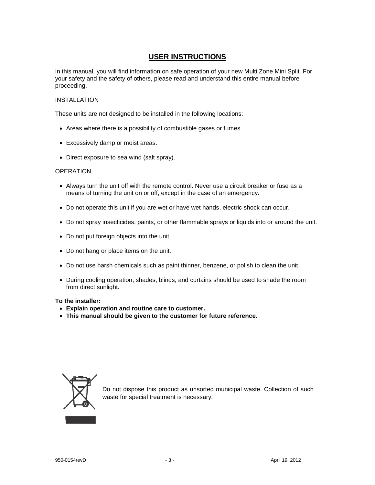#### **USER INSTRUCTIONS**

In this manual, you will find information on safe operation of your new Multi Zone Mini Split. For your safety and the safety of others, please read and understand this entire manual before proceeding.

#### INSTALLATION

These units are not designed to be installed in the following locations:

- Areas where there is a possibility of combustible gases or fumes.
- Excessively damp or moist areas.
- Direct exposure to sea wind (salt spray).

#### **OPERATION**

- Always turn the unit off with the remote control. Never use a circuit breaker or fuse as a means of turning the unit on or off, except in the case of an emergency.
- Do not operate this unit if you are wet or have wet hands, electric shock can occur.
- Do not spray insecticides, paints, or other flammable sprays or liquids into or around the unit.
- Do not put foreign objects into the unit.
- Do not hang or place items on the unit.
- Do not use harsh chemicals such as paint thinner, benzene, or polish to clean the unit.
- During cooling operation, shades, blinds, and curtains should be used to shade the room from direct sunlight.

#### **To the installer:**

- **Explain operation and routine care to customer.**
- **This manual should be given to the customer for future reference.**



Do not dispose this product as unsorted municipal waste. Collection of such waste for special treatment is necessary.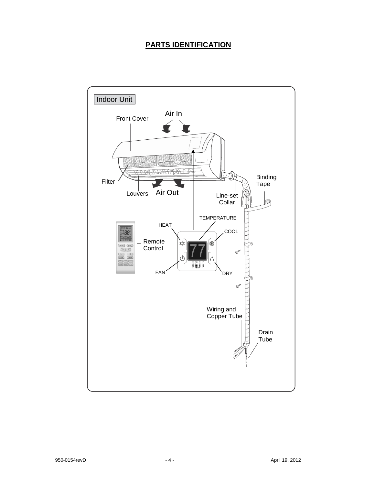#### **PARTS IDENTIFICATION**

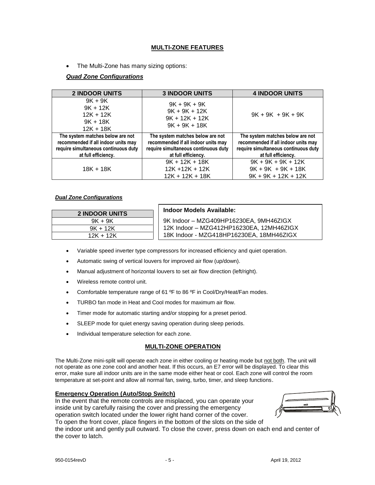#### **MULTI-ZONE FEATURES**

• The Multi-Zone has many sizing options:

#### *Quad Zone Configurations*

| <b>2 INDOOR UNITS</b>                                                                                                                  | <b>3 INDOOR UNITS</b>                                                                                                                  | <b>4 INDOOR UNITS</b>                                                                                                                  |
|----------------------------------------------------------------------------------------------------------------------------------------|----------------------------------------------------------------------------------------------------------------------------------------|----------------------------------------------------------------------------------------------------------------------------------------|
| $9K + 9K$<br>$9K + 12K$<br>$12K + 12K$<br>$9K + 18K$<br>$12K + 18K$                                                                    | $9K + 9K + 9K$<br>$9K + 9K + 12K$<br>$9K + 12K + 12K$<br>$9K + 9K + 18K$                                                               | $9K + 9K + 9K + 9K$                                                                                                                    |
| The system matches below are not<br>recommended if all indoor units may<br>require simultaneous continuous duty<br>at full efficiency. | The system matches below are not<br>recommended if all indoor units may<br>require simultaneous continuous duty<br>at full efficiency. | The system matches below are not<br>recommended if all indoor units may<br>require simultaneous continuous duty<br>at full efficiency. |
| $18K + 18K$                                                                                                                            | $9K + 12K + 18K$<br>$12K + 12K + 12K$<br>$12K + 12K + 18K$                                                                             | $9K + 9K + 9K + 12K$<br>$9K + 9K + 9K + 18K$<br>$9K + 9K + 12K + 12K$                                                                  |

#### *Dual Zone Configurations*

| <b>2 INDOOR UNITS</b> | <b>Indoor Models Available:</b>          |
|-----------------------|------------------------------------------|
| $9K + 9K$             | 9K Indoor - MZG409HP16230EA, 9MH46ZIGX   |
| $9K + 12K$            | 12K Indoor - MZG412HP16230EA, 12MH46ZIGX |
| $12K + 12K$           | 18K Indoor - MZG418HP16230EA, 18MH46ZIGX |

- Variable speed inverter type compressors for increased efficiency and quiet operation.
- Automatic swing of vertical louvers for improved air flow (up/down).
- Manual adjustment of horizontal louvers to set air flow direction (left/right).
- Wireless remote control unit.
- Comfortable temperature range of 61 °F to 86 °F in Cool/Dry/Heat/Fan modes.
- TURBO fan mode in Heat and Cool modes for maximum air flow.
- Timer mode for automatic starting and/or stopping for a preset period.
- SLEEP mode for quiet energy saving operation during sleep periods.
- Individual temperature selection for each zone.

#### **MULTI-ZONE OPERATION**

The Multi-Zone mini-split will operate each zone in either cooling or heating mode but not both. The unit will not operate as one zone cool and another heat. If this occurs, an E7 error will be displayed. To clear this error, make sure all indoor units are in the same mode either heat or cool. Each zone will control the room temperature at set-point and allow all normal fan, swing, turbo, timer, and sleep functions.

#### **Emergency Operation (Auto/Stop Switch)**

In the event that the remote controls are misplaced, you can operate your inside unit by carefully raising the cover and pressing the emergency operation switch located under the lower right hand corner of the cover. To open the front cover, place fingers in the bottom of the slots on the side of



the indoor unit and gently pull outward. To close the cover, press down on each end and center of the cover to latch.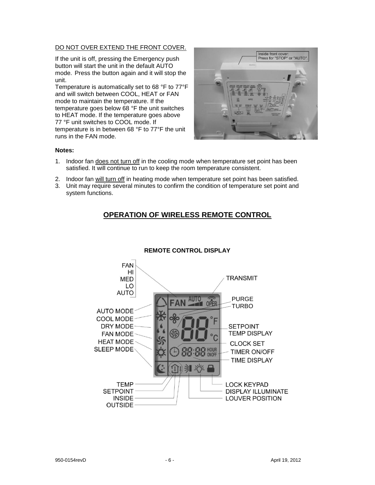#### DO NOT OVER EXTEND THE FRONT COVER.

If the unit is off, pressing the Emergency push button will start the unit in the default AUTO mode. Press the button again and it will stop the unit.

Temperature is automatically set to 68 °F to 77°F and will switch between COOL, HEAT or FAN mode to maintain the temperature. If the temperature goes below 68 °F the unit switches to HEAT mode. If the temperature goes above 77 °F unit switches to COOL mode. If temperature is in between 68 °F to 77°F the unit runs in the FAN mode.



#### **Notes:**

- 1. Indoor fan does not turn off in the cooling mode when temperature set point has been satisfied. It will continue to run to keep the room temperature consistent.
- 2. Indoor fan will turn off in heating mode when temperature set point has been satisfied.
- 3. Unit may require several minutes to confirm the condition of temperature set point and system functions.

#### **OPERATION OF WIRELESS REMOTE CONTROL**



#### **REMOTE CONTROL DISPLAY**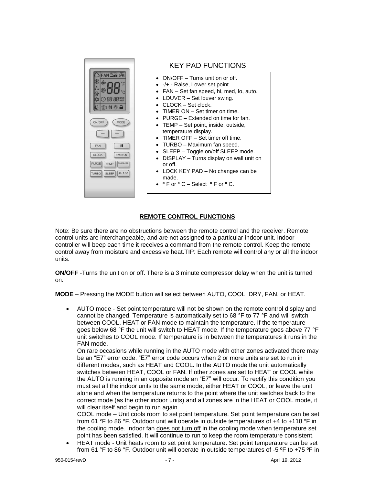

#### KEY PAD FUNCTIONS

- ON/OFF Turns unit on or off.
- -/+ Raise, Lower set point.
- FAN Set fan speed, hi, med, lo, auto.
- LOUVER Set louver swing.
- CLOCK Set clock.
- TIMER ON Set timer on time.
- PURGE Extended on time for fan.
- TEMP Set point, inside, outside, temperature display.
- TIMER OFF Set timer off time.
- TURBO Maximum fan speed.
- SLEEP Toggle on/off SLEEP mode.
- DISPLAY Turns display on wall unit on or off.
- LOCK KEY PAD No changes can be made.
- **º** F or **º** C Select **º** F or **º** C.

#### **REMOTE CONTROL FUNCTIONS**

Note: Be sure there are no obstructions between the remote control and the receiver. Remote control units are interchangeable, and are not assigned to a particular indoor unit. Indoor controller will beep each time it receives a command from the remote control. Keep the remote control away from moisture and excessive heat.TIP: Each remote will control any or all the indoor units.

**ON/OFF** -Turns the unit on or off. There is a 3 minute compressor delay when the unit is turned on.

**MODE** – Pressing the MODE button will select between AUTO, COOL, DRY, FAN, or HEAT.

 AUTO mode - Set point temperature will not be shown on the remote control display and cannot be changed. Temperature is automatically set to 68 °F to 77 °F and will switch between COOL, HEAT or FAN mode to maintain the temperature. If the temperature goes below 68 °F the unit will switch to HEAT mode. If the temperature goes above 77 °F unit switches to COOL mode. If temperature is in between the temperatures it runs in the FAN mode.

On rare occasions while running in the AUTO mode with other zones activated there may be an "E7" error code. "E7" error code occurs when 2 or more units are set to run in different modes, such as HEAT and COOL. In the AUTO mode the unit automatically switches between HEAT, COOL or FAN. If other zones are set to HEAT or COOL while the AUTO is running in an opposite mode an "E7" will occur. To rectify this condition you must set all the indoor units to the same mode, either HEAT or COOL, or leave the unit alone and when the temperature returns to the point where the unit switches back to the correct mode (as the other indoor units) and all zones are in the HEAT or COOL mode, it will clear itself and begin to run again.

COOL mode – Unit cools room to set point temperature. Set point temperature can be set from 61 °F to 86 °F. Outdoor unit will operate in outside temperatures of +4 to +118 ºF in the cooling mode. Indoor fan does not turn off in the cooling mode when temperature set point has been satisfied. It will continue to run to keep the room temperature consistent.

 HEAT mode - Unit heats room to set point temperature. Set point temperature can be set from 61 °F to 86 °F. Outdoor unit will operate in outside temperatures of -5 ºF to +75 ºF in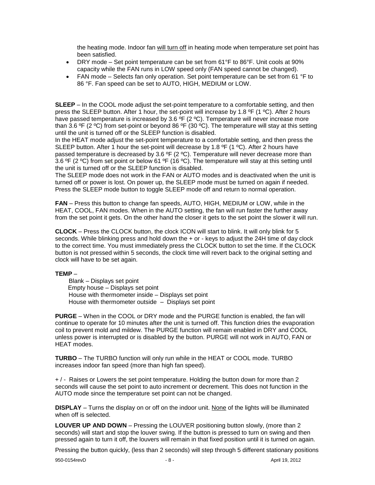the heating mode. Indoor fan will turn off in heating mode when temperature set point has been satisfied.

- DRY mode Set point temperature can be set from 61°F to 86°F. Unit cools at 90% capacity while the FAN runs in LOW speed only (FAN speed cannot be changed).
- FAN mode Selects fan only operation. Set point temperature can be set from 61 °F to 86 °F. Fan speed can be set to AUTO, HIGH, MEDIUM or LOW.

**SLEEP** – In the COOL mode adjust the set-point temperature to a comfortable setting, and then press the SLEEP button. After 1 hour, the set-point will increase by 1.8 ºF (1 ºC). After 2 hours have passed temperature is increased by 3.6  $\overline{P}$  (2 °C). Temperature will never increase more than 3.6 ºF (2 ºC) from set-point or beyond 86 ºF (30 ºC). The temperature will stay at this setting until the unit is turned off or the SLEEP function is disabled.

In the HEAT mode adjust the set-point temperature to a comfortable setting, and then press the SLEEP button. After 1 hour the set-point will decrease by 1.8 °F (1 °C). After 2 hours have passed temperature is decreased by 3.6  $^{\circ}$ F (2  $^{\circ}$ C). Temperature will never decrease more than 3.6 °F (2 °C) from set point or below 61 °F (16 °C). The temperature will stay at this setting until the unit is turned off or the SLEEP function is disabled.

The SLEEP mode does not work in the FAN or AUTO modes and is deactivated when the unit is turned off or power is lost. On power up, the SLEEP mode must be turned on again if needed. Press the SLEEP mode button to toggle SLEEP mode off and return to normal operation.

**FAN** – Press this button to change fan speeds, AUTO, HIGH, MEDIUM or LOW, while in the HEAT, COOL, FAN modes. When in the AUTO setting, the fan will run faster the further away from the set point it gets. On the other hand the closer it gets to the set point the slower it will run.

**CLOCK** – Press the CLOCK button, the clock ICON will start to blink. It will only blink for 5 seconds. While blinking press and hold down the + or - keys to adjust the 24H time of day clock to the correct time. You must immediately press the CLOCK button to set the time. If the CLOCK button is not pressed within 5 seconds, the clock time will revert back to the original setting and clock will have to be set again.

#### **TEMP** –

 Blank – Displays set point Empty house – Displays set point House with thermometer inside – Displays set point House with thermometer outside – Displays set point

**PURGE** – When in the COOL or DRY mode and the PURGE function is enabled, the fan will continue to operate for 10 minutes after the unit is turned off. This function dries the evaporation coil to prevent mold and mildew. The PURGE function will remain enabled in DRY and COOL unless power is interrupted or is disabled by the button. PURGE will not work in AUTO, FAN or HEAT modes.

**TURBO** – The TURBO function will only run while in the HEAT or COOL mode. TURBO increases indoor fan speed (more than high fan speed).

+ / - Raises or Lowers the set point temperature. Holding the button down for more than 2 seconds will cause the set point to auto increment or decrement. This does not function in the AUTO mode since the temperature set point can not be changed.

**DISPLAY** – Turns the display on or off on the indoor unit. None of the lights will be illuminated when off is selected.

**LOUVER UP AND DOWN** – Pressing the LOUVER positioning button slowly, (more than 2 seconds) will start and stop the louver swing. If the button is pressed to turn on swing and then pressed again to turn it off, the louvers will remain in that fixed position until it is turned on again.

Pressing the button quickly, (less than 2 seconds) will step through 5 different stationary positions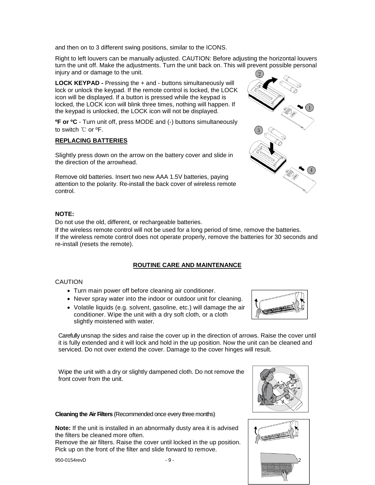and then on to 3 different swing positions, similar to the ICONS.

Right to left louvers can be manually adjusted. CAUTION: Before adjusting the horizontal louvers turn the unit off. Make the adjustments. Turn the unit back on. This will prevent possible personal injury and or damage to the unit.

**LOCK KEYPAD -** Pressing the + and - buttons simultaneously will lock or unlock the keypad. If the remote control is locked, the LOCK icon will be displayed. If a button is pressed while the keypad is locked, the LOCK icon will blink three times, nothing will happen. If the keypad is unlocked, the LOCK icon will not be displayed.

**ºF or ºC** - Turn unit off, press MODE and (-) buttons simultaneously to switch ℃ or ºF.

#### **REPLACING BATTERIES**

Slightly press down on the arrow on the battery cover and slide in the direction of the arrowhead.

Remove old batteries. Insert two new AAA 1.5V batteries, paying attention to the polarity. Re-install the back cover of wireless remote control.

#### **NOTE:**

Do not use the old, different, or rechargeable batteries.

If the wireless remote control will not be used for a long period of time, remove the batteries. If the wireless remote control does not operate properly, remove the batteries for 30 seconds and re-install (resets the remote).

#### **ROUTINE CARE AND MAINTENANCE**

#### **CAUTION**

- Turn main power off before cleaning air conditioner.
- Never spray water into the indoor or outdoor unit for cleaning.
- Volatile liquids (e.g. solvent, gasoline, etc.) will damage the air conditioner. Wipe the unit with a dry soft cloth, or a cloth slightly moistened with water.

Carefully unsnap the sides and raise the cover up in the direction of arrows. Raise the cover until it is fully extended and it will lock and hold in the up position. Now the unit can be cleaned and serviced. Do not over extend the cover. Damage to the cover hinges will result.

Wipe the unit with a dry or slightly dampened cloth. Do not remove the front cover from the unit.

#### **Cleaning the Air Filters** (Recommended once every three months)

**Note:** If the unit is installed in an abnormally dusty area it is advised the filters be cleaned more often.

Remove the air filters. Raise the cover until locked in the up position. Pick up on the front of the filter and slide forward to remove.







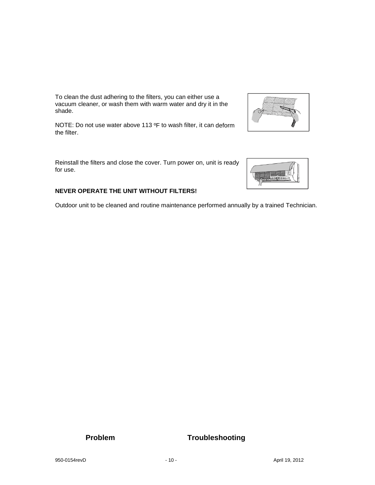To clean the dust adhering to the filters, you can either use a vacuum cleaner, or wash them with warm water and dry it in the shade.

NOTE: Do not use water above 113 ºF to wash filter, it can deform the filter.

Reinstall the filters and close the cover. Turn power on, unit is ready for use.

#### **NEVER OPERATE THE UNIT WITHOUT FILTERS!**

Outdoor unit to be cleaned and routine maintenance performed annually by a trained Technician.



 $-256$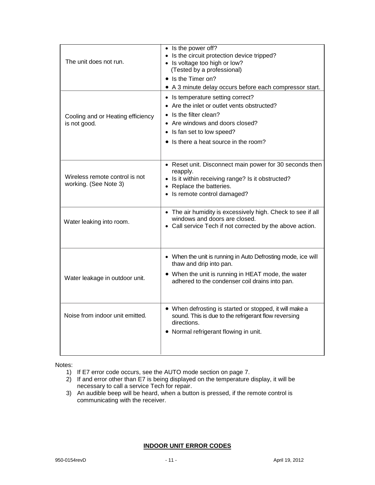| The unit does not run.                                  | • Is the power off?<br>• Is the circuit protection device tripped?<br>• Is voltage too high or low?<br>(Tested by a professional)<br>• Is the Timer on?<br>• A 3 minute delay occurs before each compressor start. |
|---------------------------------------------------------|--------------------------------------------------------------------------------------------------------------------------------------------------------------------------------------------------------------------|
| Cooling and or Heating efficiency<br>is not good.       | • Is temperature setting correct?<br>• Are the inlet or outlet vents obstructed?<br>Is the filter clean?<br>• Are windows and doors closed?<br>• Is fan set to low speed?<br>• Is there a heat source in the room? |
| Wireless remote control is not<br>working. (See Note 3) | • Reset unit. Disconnect main power for 30 seconds then<br>reapply.<br>• Is it within receiving range? Is it obstructed?<br>• Replace the batteries.<br>• Is remote control damaged?                               |
| Water leaking into room.                                | • The air humidity is excessively high. Check to see if all<br>windows and doors are closed.<br>• Call service Tech if not corrected by the above action.                                                          |
| Water leakage in outdoor unit.                          | • When the unit is running in Auto Defrosting mode, ice will<br>thaw and drip into pan.<br>• When the unit is running in HEAT mode, the water<br>adhered to the condenser coil drains into pan.                    |
| Noise from indoor unit emitted.                         | • When defrosting is started or stopped, it will make a<br>sound. This is due to the refrigerant flow reversing<br>directions.<br>• Normal refrigerant flowing in unit.                                            |

Notes:

- 1) If E7 error code occurs, see the AUTO mode section on page 7.
- 2) If and error other than E7 is being displayed on the temperature display, it will be necessary to call a service Tech for repair.
- 3) An audible beep will be heard, when a button is pressed, if the remote control is communicating with the receiver.

#### **INDOOR UNIT ERROR CODES**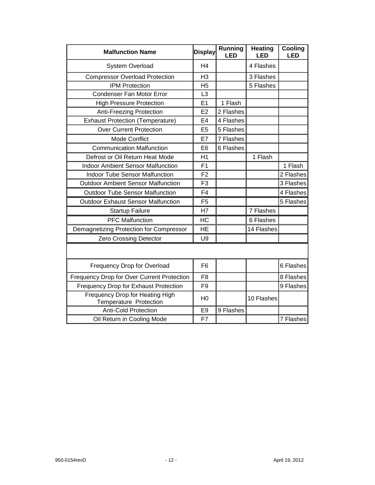| <b>Malfunction Name</b><br><b>Display</b>                 |                | Running<br><b>LED</b> | Heating<br><b>LED</b> | Cooling<br><b>LED</b> |
|-----------------------------------------------------------|----------------|-----------------------|-----------------------|-----------------------|
| System Overload                                           | H <sub>4</sub> |                       | 4 Flashes             |                       |
| <b>Compressor Overload Protection</b>                     | H <sub>3</sub> |                       | 3 Flashes             |                       |
| <b>IPM Protection</b>                                     | H <sub>5</sub> |                       | 5 Flashes             |                       |
| <b>Condenser Fan Motor Error</b>                          | L <sub>3</sub> |                       |                       |                       |
| <b>High Pressure Protection</b>                           | E1             | 1 Flash               |                       |                       |
| <b>Anti-Freezing Protection</b>                           | E2             | 2 Flashes             |                       |                       |
| <b>Exhaust Protection (Temperature)</b>                   | E <sub>4</sub> | 4 Flashes             |                       |                       |
| <b>Over Current Protection</b>                            | E <sub>5</sub> | 5 Flashes             |                       |                       |
| <b>Mode Conflict</b>                                      | E7             | 7 Flashes             |                       |                       |
| <b>Communication Malfunction</b>                          | E <sub>6</sub> | 6 Flashes             |                       |                       |
| Defrost or Oil Return Heat Mode                           | H1             |                       | 1 Flash               |                       |
| <b>Indoor Ambient Sensor Malfunction</b>                  | F <sub>1</sub> |                       |                       | 1 Flash               |
| <b>Indoor Tube Sensor Malfunction</b>                     | F <sub>2</sub> |                       |                       | 2 Flashes             |
| <b>Outdoor Ambient Sensor Malfunction</b>                 | F <sub>3</sub> |                       |                       | 3 Flashes             |
| <b>Outdoor Tube Sensor Malfunction</b>                    | F <sub>4</sub> |                       |                       | 4 Flashes             |
| <b>Outdoor Exhaust Sensor Malfunction</b>                 | F <sub>5</sub> |                       |                       | 5 Flashes             |
| <b>Startup Failure</b>                                    | H7             |                       | 7 Flashes             |                       |
| <b>PFC Malfunction</b>                                    | HC             |                       | 6 Flashes             |                       |
| Demagnetizing Protection for Compressor                   | <b>HE</b>      |                       | 14 Flashes            |                       |
| <b>Zero Crossing Detector</b>                             | U <sub>9</sub> |                       |                       |                       |
|                                                           |                |                       |                       |                       |
| Frequency Drop for Overload                               | F <sub>6</sub> |                       |                       | 6 Flashes             |
| Frequency Drop for Over Current Protection                | F <sub>8</sub> |                       |                       | 8 Flashes             |
| <b>Frequency Drop for Exhaust Protection</b>              | F <sub>9</sub> |                       |                       | 9 Flashes             |
| Frequency Drop for Heating High<br>Temperature Protection | H <sub>0</sub> |                       | 10 Flashes            |                       |
| <b>Anti-Cold Protection</b>                               | E <sub>9</sub> | 9 Flashes             |                       |                       |
| Oil Return in Cooling Mode                                | F7             |                       |                       | 7 Flashes             |